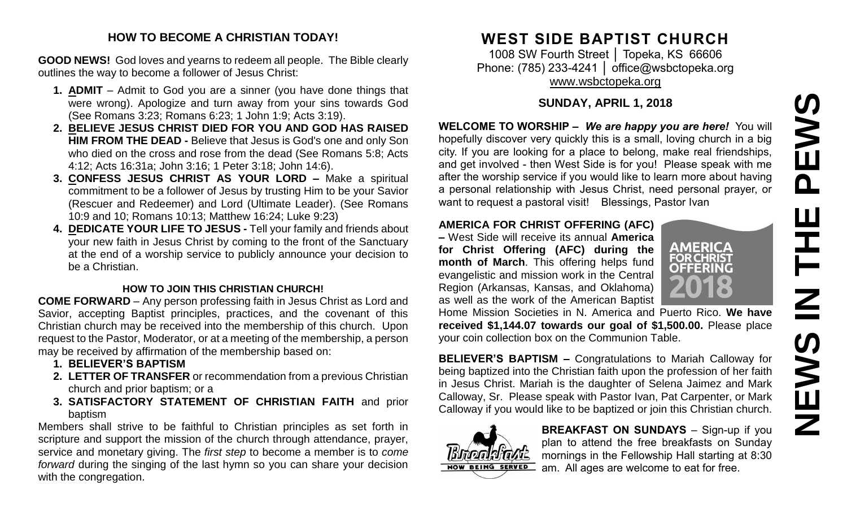# PEWS **NEWS IN THE PEWS**HH<br>N<br>N **NEWS**

#### **HOW TO BECOME A CHRISTIAN TODAY!**

**GOOD NEWS!** God loves and yearns to redeem all people. The Bible clearly outlines the way to become a follower of Jesus Christ:

- **1. ADMIT** Admit to God you are a sinner (you have done things that were wrong). Apologize and turn away from your sins towards God (See Romans 3:23; Romans 6:23; 1 John 1:9; Acts 3:19).
- **2. BELIEVE JESUS CHRIST DIED FOR YOU AND GOD HAS RAISED HIM FROM THE DEAD -** Believe that Jesus is God's one and only Son who died on the cross and rose from the dead (See Romans 5:8; Acts 4:12; Acts 16:31a; John 3:16; 1 Peter 3:18; John 14:6).
- **3. CONFESS JESUS CHRIST AS YOUR LORD –** Make a spiritual commitment to be a follower of Jesus by trusting Him to be your Savior (Rescuer and Redeemer) and Lord (Ultimate Leader). (See Romans 10:9 and 10; Romans 10:13; Matthew 16:24; Luke 9:23)
- **4. DEDICATE YOUR LIFE TO JESUS -** Tell your family and friends about your new faith in Jesus Christ by coming to the front of the Sanctuary at the end of a worship service to publicly announce your decision to be a Christian.

#### **HOW TO JOIN THIS CHRISTIAN CHURCH!**

**COME FORWARD** – Any person professing faith in Jesus Christ as Lord and Savior, accepting Baptist principles, practices, and the covenant of this Christian church may be received into the membership of this church. Upon request to the Pastor, Moderator, or at a meeting of the membership, a person may be received by affirmation of the membership based on:

- **1. BELIEVER'S BAPTISM**
- **2. LETTER OF TRANSFER** or recommendation from a previous Christian church and prior baptism; or a
- **3. SATISFACTORY STATEMENT OF CHRISTIAN FAITH** and prior baptism

Members shall strive to be faithful to Christian principles as set forth in scripture and support the mission of the church through attendance, prayer, service and monetary giving. The *first step* to become a member is to *come forward* during the singing of the last hymn so you can share your decision with the congregation.

# **WEST SIDE BAPTIST CHURCH**

1008 SW Fourth Street | Topeka, KS 66606 Phone: (785) 233-4241 | [office@wsbctopeka.org](mailto:office@wsbctopeka.org) [www.wsbctopeka.org](http://www.wsbctopeka.org/)

#### **SUNDAY, APRIL 1, 2018**

**WELCOME TO WORSHIP –** *We are happy you are here!* You will hopefully discover very quickly this is a small, loving church in a big city. If you are looking for a place to belong, make real friendships, and get involved - then West Side is for you! Please speak with me after the worship service if you would like to learn more about having a personal relationship with Jesus Christ, need personal prayer, or want to request a pastoral visit! Blessings, Pastor Ivan

#### **AMERICA FOR CHRIST OFFERING (AFC)**

**–** West Side will receive its annual **America for Christ Offering (AFC) during the month of March**. This offering helps fund evangelistic and mission work in the Central Region (Arkansas, Kansas, and Oklahoma) as well as the work of the American Baptist



Home Mission Societies in N. America and Puerto Rico. **We have received \$1,144.07 towards our goal of \$1,500.00.** Please place your coin collection box on the Communion Table.

**BELIEVER'S BAPTISM –** Congratulations to Mariah Calloway for being baptized into the Christian faith upon the profession of her faith in Jesus Christ. Mariah is the daughter of Selena Jaimez and Mark Calloway, Sr. Please speak with Pastor Ivan, Pat Carpenter, or Mark Calloway if you would like to be baptized or join this Christian church.



**BREAKFAST ON SUNDAYS** - Sign-up if you plan to attend the free breakfasts on Sunday mornings in the Fellowship Hall starting at 8:30 am. All ages are welcome to eat for free.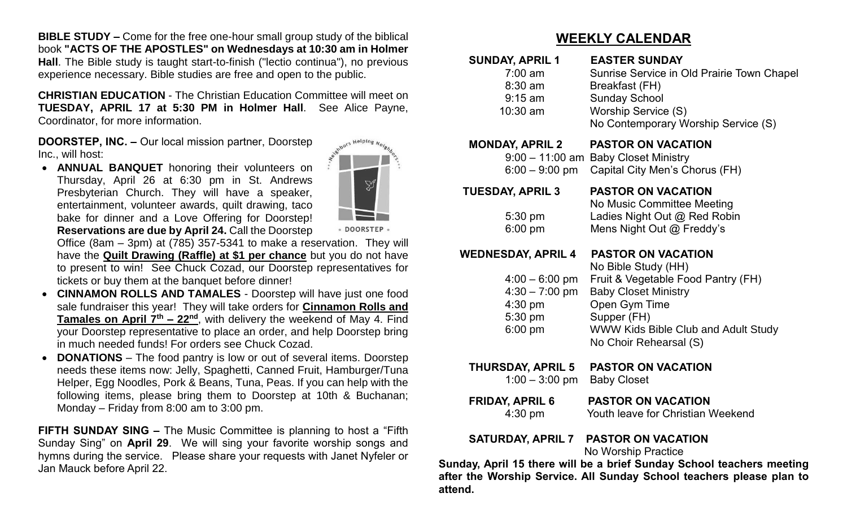**BIBLE STUDY –** Come for the free one-hour small group study of the biblical book **"ACTS OF THE APOSTLES" on Wednesdays at 10:30 am in Holmer Hall**. The Bible study is taught start-to-finish ("lectio continua"), no previous experience necessary. Bible studies are free and open to the public.

**CHRISTIAN EDUCATION** - The Christian Education Committee will meet on **TUESDAY, APRIL 17 at 5:30 PM in Holmer Hall**. See Alice Payne, Coordinator, for more information.

**DOORSTEP, INC. –** Our local mission partner, Doorstep Inc., will host:

• **ANNUAL BANQUET** honoring their volunteers on Thursday, April 26 at 6:30 pm in St. Andrews Presbyterian Church. They will have a speaker, entertainment, volunteer awards, quilt drawing, taco bake for dinner and a Love Offering for Doorstep! **Reservations are due by April 24.** Call the Doorstep



· DOORSTEP ·

Office (8am – 3pm) at (785) 357-5341 to make a reservation. They will have the **Quilt Drawing (Raffle) at \$1 per chance** but you do not have to present to win! See Chuck Cozad, our Doorstep representatives for tickets or buy them at the banquet before dinner!

- **CINNAMON ROLLS AND TAMALES**  Doorstep will have just one food sale fundraiser this year! They will take orders for **Cinnamon Rolls and Tamales on April 7th – 22nd**, with delivery the weekend of May 4. Find your Doorstep representative to place an order, and help Doorstep bring in much needed funds! For orders see Chuck Cozad.
- **DONATIONS**  The food pantry is low or out of several items. Doorstep needs these items now: Jelly, Spaghetti, Canned Fruit, Hamburger/Tuna Helper, Egg Noodles, Pork & Beans, Tuna, Peas. If you can help with the following items, please bring them to Doorstep at 10th & Buchanan; Monday – Friday from 8:00 am to 3:00 pm.

**FIFTH SUNDAY SING –** The Music Committee is planning to host a "Fifth Sunday Sing" on **April 29**. We will sing your favorite worship songs and hymns during the service. Please share your requests with Janet Nyfeler or Jan Mauck before April 22.

### **WEEKLY CALENDAR**

| <b>SUNDAY, APRIL 1</b><br>$7:00 \text{ am}$<br>$8:30$ am<br>$9:15$ am<br>10:30 am                      | <b>EASTER SUNDAY</b><br>Sunrise Service in Old Prairie Town Chapel<br>Breakfast (FH)<br><b>Sunday School</b><br>Worship Service (S)<br>No Contemporary Worship Service (S)                                             |
|--------------------------------------------------------------------------------------------------------|------------------------------------------------------------------------------------------------------------------------------------------------------------------------------------------------------------------------|
| <b>MONDAY, APRIL 2</b><br>$6:00 - 9:00$ pm                                                             | <b>PASTOR ON VACATION</b><br>9:00 - 11:00 am Baby Closet Ministry<br>Capital City Men's Chorus (FH)                                                                                                                    |
| <b>TUESDAY, APRIL 3</b><br>$5:30 \text{ pm}$<br>$6:00 \text{ pm}$                                      | <b>PASTOR ON VACATION</b><br>No Music Committee Meeting<br>Ladies Night Out @ Red Robin<br>Mens Night Out @ Freddy's                                                                                                   |
| <b>WEDNESDAY, APRIL 4</b><br>$4:00 - 6:00$ pm<br>$4:30 - 7:00$ pm<br>$4:30$ pm<br>5:30 pm<br>$6:00$ pm | <b>PASTOR ON VACATION</b><br>No Bible Study (HH)<br>Fruit & Vegetable Food Pantry (FH)<br><b>Baby Closet Ministry</b><br>Open Gym Time<br>Supper (FH)<br>WWW Kids Bible Club and Adult Study<br>No Choir Rehearsal (S) |
| <b>THURSDAY, APRIL 5</b><br>$1:00 - 3:00$ pm                                                           | <b>PASTOR ON VACATION</b><br><b>Baby Closet</b>                                                                                                                                                                        |
| <b>FRIDAY, APRIL 6</b><br>$4:30$ pm                                                                    | <b>PASTOR ON VACATION</b><br>Youth leave for Christian Weekend                                                                                                                                                         |
| <b>SATURDAY, APRIL 7</b>                                                                               | <b>PASTOR ON VACATION</b><br>No Worship Practice                                                                                                                                                                       |

**Sunday, April 15 there will be a brief Sunday School teachers meeting after the Worship Service. All Sunday School teachers please plan to attend.**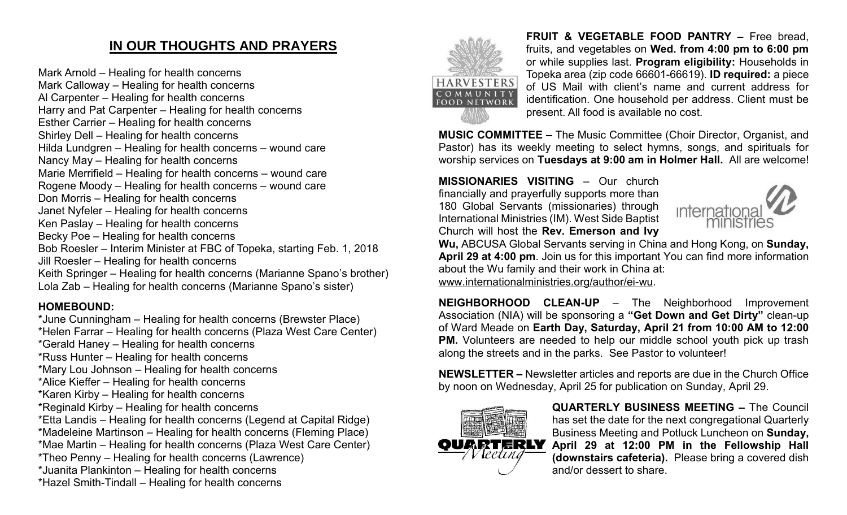## **IN OUR THOUGHTS AND PRAYERS**

Mark Arnold – Healing for health concerns Mark Calloway – Healing for health concerns Al Carpenter – Healing for health concerns Harry and Pat Carpenter – Healing for health concerns Esther Carrier – Healing for health concerns Shirley Dell – Healing for health concerns Hilda Lundgren – Healing for health concerns – wound care Nancy May – Healing for health concerns Marie Merrifield – Healing for health concerns – wound care Rogene Moody – Healing for health concerns – wound care Don Morris – Healing for health concerns Janet Nyfeler – Healing for health concerns Ken Paslay – Healing for health concerns Becky Poe – Healing for health concerns Bob Roesler – Interim Minister at FBC of Topeka, starting Feb. 1, 2018 Jill Roesler – Healing for health concerns Keith Springer – Healing for health concerns (Marianne Spano's brother) Lola Zab – Healing for health concerns (Marianne Spano's sister)

#### **HOMEBOUND:**

\*June Cunningham – Healing for health concerns (Brewster Place) \*Helen Farrar – Healing for health concerns (Plaza West Care Center) \*Gerald Haney – Healing for health concerns \*Russ Hunter – Healing for health concerns \*Mary Lou Johnson – Healing for health concerns \*Alice Kieffer – Healing for health concerns \*Karen Kirby – Healing for health concerns \*Reginald Kirby – Healing for health concerns \*Etta Landis – Healing for health concerns (Legend at Capital Ridge) \*Madeleine Martinson – Healing for health concerns (Fleming Place) \*Mae Martin – Healing for health concerns (Plaza West Care Center) \*Theo Penny – Healing for health concerns (Lawrence) \*Juanita Plankinton – Healing for health concerns \*Hazel Smith-Tindall – Healing for health concerns



**FRUIT & VEGETABLE FOOD PANTRY –** Free bread, fruits, and vegetables on **Wed. from 4:00 pm to 6:00 pm**  or while supplies last. **Program eligibility:** Households in Topeka area (zip code 66601-66619). **ID required:** a piece of US Mail with client's name and current address for identification. One household per address. Client must be present. All food is available no cost.

**MUSIC COMMITTEE –** The Music Committee (Choir Director, Organist, and Pastor) has its weekly meeting to select hymns, songs, and spirituals for worship services on **Tuesdays at 9:00 am in Holmer Hall.** All are welcome!

**MISSIONARIES VISITING** – Our church financially and prayerfully supports more than 180 Global Servants (missionaries) through International Ministries (IM). West Side Baptist Church will host the **Rev. Emerson and Ivy** 



**Wu,** ABCUSA Global Servants serving in China and Hong Kong, on **Sunday, April 29 at 4:00 pm**. Join us for this important You can find more information about the Wu family and their work in China at: [www.internationalministries.org/author/ei-wu.](http://www.internationalministries.org/author/ei-wu)

**NEIGHBORHOOD CLEAN-UP** – The Neighborhood Improvement Association (NIA) will be sponsoring a **"Get Down and Get Dirty"** clean-up of Ward Meade on **Earth Day, Saturday, April 21 from 10:00 AM to 12:00 PM.** Volunteers are needed to help our middle school youth pick up trash along the streets and in the parks. See Pastor to volunteer!

**NEWSLETTER –** Newsletter articles and reports are due in the Church Office by noon on Wednesday, April 25 for publication on Sunday, April 29.



**QUARTERLY BUSINESS MEETING –** The Council has set the date for the next congregational Quarterly Business Meeting and Potluck Luncheon on **Sunday, April 29 at 12:00 PM in the Fellowship Hall (downstairs cafeteria).** Please bring a covered dish and/or dessert to share.